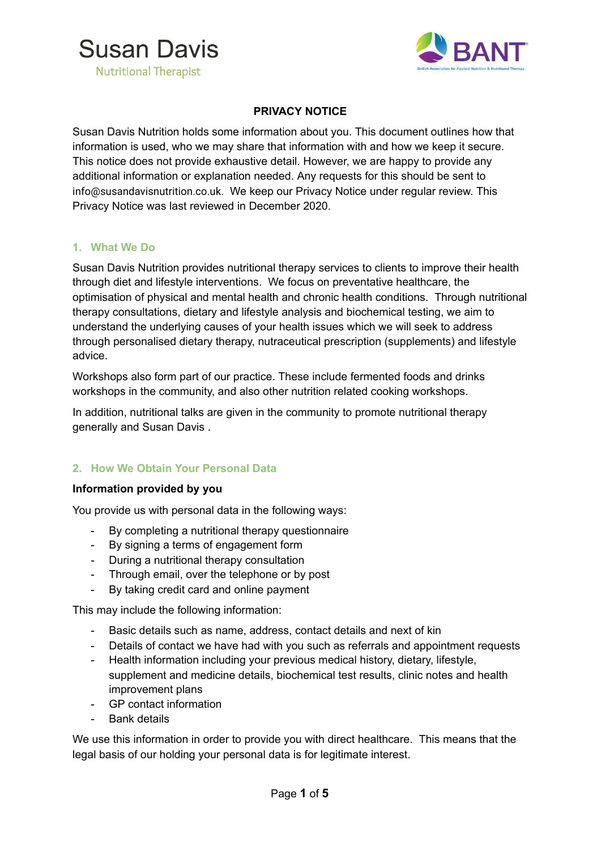



## **PRIVACY NOTICE**

Susan Davis Nutrition holds some information about you. This document outlines how that information is used, who we may share that information with and how we keep it secure. This notice does not provide exhaustive detail. However, we are happy to provide any additional information or explanation needed. Any requests for this should be sent to info@susandavisnutrition.co.uk. We keep our Privacy Notice under regular review. This Privacy Notice was last reviewed in December 2020.

## **1. What We Do**

Susan Davis Nutrition provides nutritional therapy services to clients to improve their health through diet and lifestyle interventions. We focus on preventative healthcare, the optimisation of physical and mental health and chronic health conditions. Through nutritional therapy consultations, dietary and lifestyle analysis and biochemical testing, we aim to understand the underlying causes of your health issues which we will seek to address through personalised dietary therapy, nutraceutical prescription (supplements) and lifestyle advice.

Workshops also form part of our practice. These include fermented foods and drinks workshops in the community, and also other nutrition related cooking workshops.

In addition, nutritional talks are given in the community to promote nutritional therapy generally and Susan Davis .

## **2. How We Obtain Your Personal Data**

#### **Information provided by you**

You provide us with personal data in the following ways:

- By completing a nutritional therapy questionnaire
- By signing a terms of engagement form
- During a nutritional therapy consultation
- Through email, over the telephone or by post
- By taking credit card and online payment

This may include the following information:

- Basic details such as name, address, contact details and next of kin
- Details of contact we have had with you such as referrals and appointment requests
- Health information including your previous medical history, dietary, lifestyle, supplement and medicine details, biochemical test results, clinic notes and health improvement plans
- GP contact information
- Bank details

We use this information in order to provide you with direct healthcare. This means that the legal basis of our holding your personal data is for legitimate interest.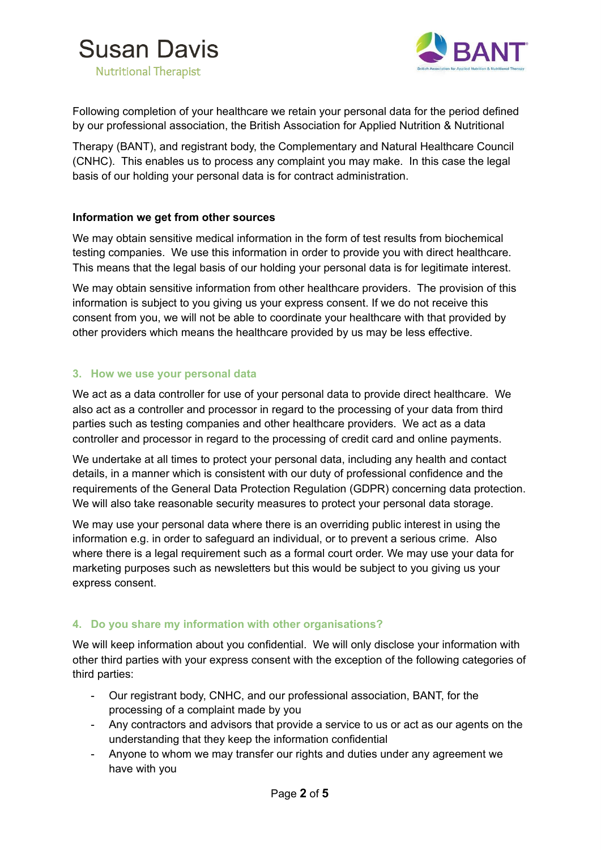



Following completion of your healthcare we retain your personal data for the period defined by our professional association, the British Association for Applied Nutrition & Nutritional

Therapy (BANT), and registrant body, the Complementary and Natural Healthcare Council (CNHC). This enables us to process any complaint you may make. In this case the legal basis of our holding your personal data is for contract administration.

## **Information we get from other sources**

We may obtain sensitive medical information in the form of test results from biochemical testing companies. We use this information in order to provide you with direct healthcare. This means that the legal basis of our holding your personal data is for legitimate interest.

We may obtain sensitive information from other healthcare providers. The provision of this information is subject to you giving us your express consent. If we do not receive this consent from you, we will not be able to coordinate your healthcare with that provided by other providers which means the healthcare provided by us may be less effective.

## **3. How we use your personal data**

We act as a data controller for use of your personal data to provide direct healthcare. We also act as a controller and processor in regard to the processing of your data from third parties such as testing companies and other healthcare providers. We act as a data controller and processor in regard to the processing of credit card and online payments.

We undertake at all times to protect your personal data, including any health and contact details, in a manner which is consistent with our duty of professional confidence and the requirements of the General Data Protection Regulation (GDPR) concerning data protection. We will also take reasonable security measures to protect your personal data storage.

We may use your personal data where there is an overriding public interest in using the information e.g. in order to safeguard an individual, or to prevent a serious crime. Also where there is a legal requirement such as a formal court order. We may use your data for marketing purposes such as newsletters but this would be subject to you giving us your express consent.

## **4. Do you share my information with other organisations?**

We will keep information about you confidential. We will only disclose your information with other third parties with your express consent with the exception of the following categories of third parties:

- Our registrant body, CNHC, and our professional association, BANT, for the processing of a complaint made by you
- Any contractors and advisors that provide a service to us or act as our agents on the understanding that they keep the information confidential
- Anyone to whom we may transfer our rights and duties under any agreement we have with you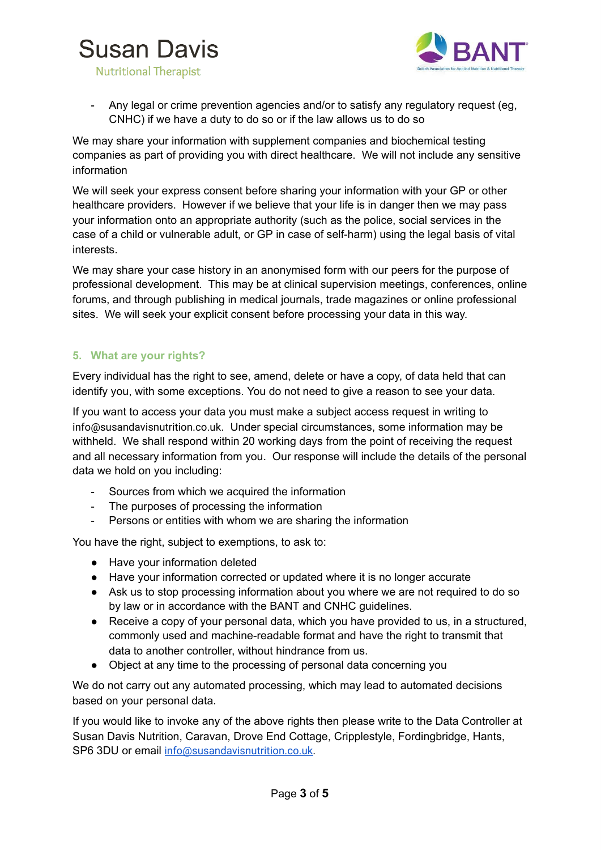# **Susan Davis**



**Nutritional Therapist** 

Any legal or crime prevention agencies and/or to satisfy any regulatory request (eg, CNHC) if we have a duty to do so or if the law allows us to do so

We may share your information with supplement companies and biochemical testing companies as part of providing you with direct healthcare. We will not include any sensitive information

We will seek your express consent before sharing your information with your GP or other healthcare providers. However if we believe that your life is in danger then we may pass your information onto an appropriate authority (such as the police, social services in the case of a child or vulnerable adult, or GP in case of self-harm) using the legal basis of vital interests.

We may share your case history in an anonymised form with our peers for the purpose of professional development. This may be at clinical supervision meetings, conferences, online forums, and through publishing in medical journals, trade magazines or online professional sites. We will seek your explicit consent before processing your data in this way.

# **5. What are your rights?**

Every individual has the right to see, amend, delete or have a copy, of data held that can identify you, with some exceptions. You do not need to give a reason to see your data.

If you want to access your data you must make a subject access request in writing to info@susandavisnutrition.co.uk . Under special circumstances, some information may be withheld. We shall respond within 20 working days from the point of receiving the request and all necessary information from you. Our response will include the details of the personal data we hold on you including:

- Sources from which we acquired the information
- The purposes of processing the information
- Persons or entities with whom we are sharing the information

You have the right, subject to exemptions, to ask to:

- Have your information deleted
- Have your information corrected or updated where it is no longer accurate
- Ask us to stop processing information about you where we are not required to do so by law or in accordance with the BANT and CNHC guidelines.
- Receive a copy of your personal data, which you have provided to us, in a structured, commonly used and machine-readable format and have the right to transmit that data to another controller, without hindrance from us.
- Object at any time to the processing of personal data concerning you

We do not carry out any automated processing, which may lead to automated decisions based on your personal data.

If you would like to invoke any of the above rights then please write to the Data Controller at Susan Davis Nutrition, Caravan, Drove End Cottage, Cripplestyle, Fordingbridge, Hants, SP6 3DU or email info@susandavisnutrition.co.uk.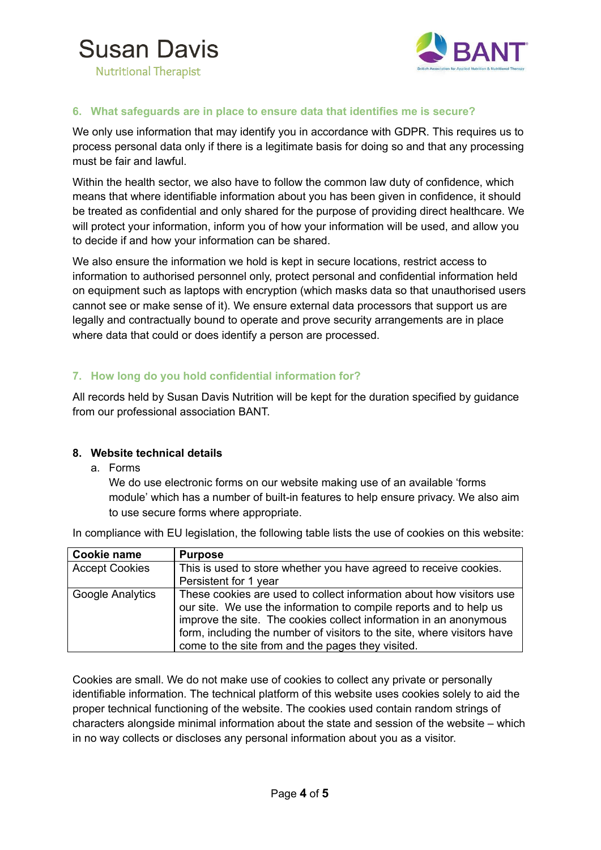



## **Nutritional Therapist**

## **6. What safeguards are in place to ensure data that identifies me is secure?**

We only use information that may identify you in accordance with GDPR. This requires us to process personal data only if there is a legitimate basis for doing so and that any processing must be fair and lawful.

Within the health sector, we also have to follow the common law duty of confidence, which means that where identifiable information about you has been given in confidence, it should be treated as confidential and only shared for the purpose of providing direct healthcare. We will protect your information, inform you of how your information will be used, and allow you to decide if and how your information can be shared.

We also ensure the information we hold is kept in secure locations, restrict access to information to authorised personnel only, protect personal and confidential information held on equipment such as laptops with encryption (which masks data so that unauthorised users cannot see or make sense of it). We ensure external data processors that support us are legally and contractually bound to operate and prove security arrangements are in place where data that could or does identify a person are processed.

## **7. How long do you hold confidential information for?**

All records held by Susan Davis Nutrition will be kept for the duration specified by guidance from our professional association BANT.

#### **8. Website technical details**

a. Forms

We do use electronic forms on our website making use of an available 'forms module' which has a number of built-in features to help ensure privacy. We also aim to use secure forms where appropriate.

In compliance with EU legislation, the following table lists the use of cookies on this website:

| Cookie name           | <b>Purpose</b>                                                                                                                                                                                                                                                                                                                                  |
|-----------------------|-------------------------------------------------------------------------------------------------------------------------------------------------------------------------------------------------------------------------------------------------------------------------------------------------------------------------------------------------|
| <b>Accept Cookies</b> | This is used to store whether you have agreed to receive cookies.                                                                                                                                                                                                                                                                               |
|                       | Persistent for 1 year                                                                                                                                                                                                                                                                                                                           |
| Google Analytics      | These cookies are used to collect information about how visitors use<br>our site. We use the information to compile reports and to help us<br>improve the site. The cookies collect information in an anonymous<br>form, including the number of visitors to the site, where visitors have<br>come to the site from and the pages they visited. |

Cookies are small. We do not make use of cookies to collect any private or personally identifiable information. The technical platform of this website uses cookies solely to aid the proper technical functioning of the website. The cookies used contain random strings of characters alongside minimal information about the state and session of the website – which in no way collects or discloses any personal information about you as a visitor.